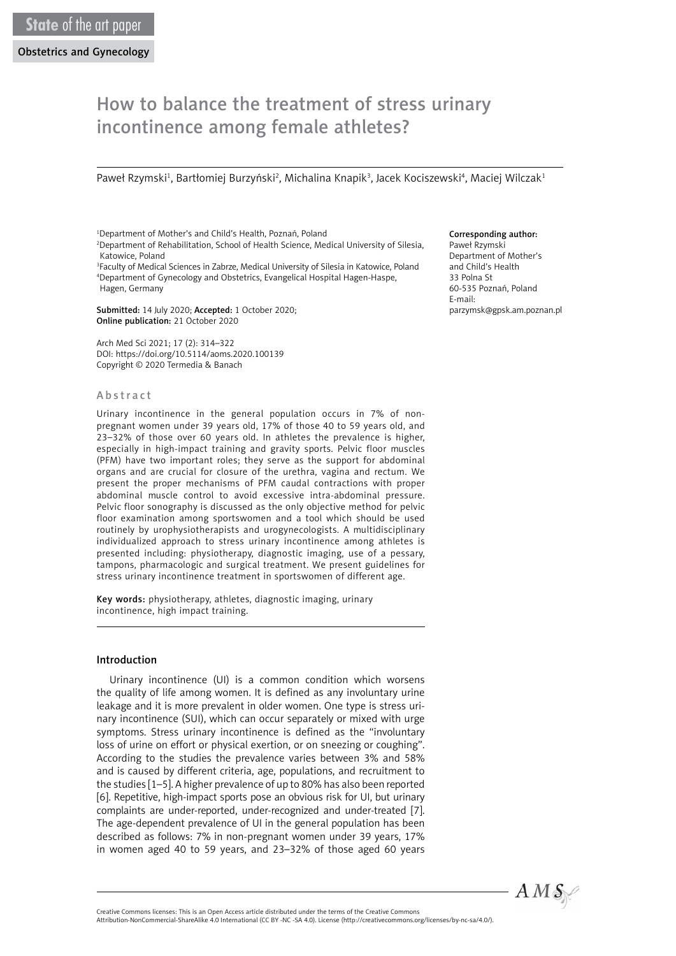# How to balance the treatment of stress urinary incontinence among female athletes?

Paweł Rzymski<sup>1</sup>, Bartłomiej Burzyński<sup>2</sup>, Michalina Knapik<sup>3</sup>, Jacek Kociszewski<sup>4</sup>, Maciej Wilczak<sup>1</sup>

1 Department of Mother's and Child's Health, Poznań, Poland 2 Department of Rehabilitation, School of Health Science, Medical University of Silesia, Katowice, Poland

3 Faculty of Medical Sciences in Zabrze, Medical University of Silesia in Katowice, Poland 4 Department of Gynecology and Obstetrics, Evangelical Hospital Hagen-Haspe, Hagen, Germany

Submitted: 14 July 2020; Accepted: 1 October 2020; Online publication: 21 October 2020

Arch Med Sci 2021; 17 (2): 314–322 DOI: https://doi.org/10.5114/aoms.2020.100139 Copyright © 2020 Termedia & Banach

#### Abstract

Urinary incontinence in the general population occurs in 7% of nonpregnant women under 39 years old, 17% of those 40 to 59 years old, and 23–32% of those over 60 years old. In athletes the prevalence is higher, especially in high-impact training and gravity sports. Pelvic floor muscles (PFM) have two important roles; they serve as the support for abdominal organs and are crucial for closure of the urethra, vagina and rectum. We present the proper mechanisms of PFM caudal contractions with proper abdominal muscle control to avoid excessive intra-abdominal pressure. Pelvic floor sonography is discussed as the only objective method for pelvic floor examination among sportswomen and a tool which should be used routinely by urophysiotherapists and urogynecologists. A multidisciplinary individualized approach to stress urinary incontinence among athletes is presented including: physiotherapy, diagnostic imaging, use of a pessary, tampons, pharmacologic and surgical treatment. We present guidelines for stress urinary incontinence treatment in sportswomen of different age.

Key words: physiotherapy, athletes, diagnostic imaging, urinary incontinence, high impact training.

#### Introduction

Urinary incontinence (UI) is a common condition which worsens the quality of life among women. It is defined as any involuntary urine leakage and it is more prevalent in older women. One type is stress urinary incontinence (SUI), which can occur separately or mixed with urge symptoms. Stress urinary incontinence is defined as the "involuntary loss of urine on effort or physical exertion, or on sneezing or coughing". According to the studies the prevalence varies between 3% and 58% and is caused by different criteria, age, populations, and recruitment to the studies [1–5]. A higher prevalence of up to 80% has also been reported [6]. Repetitive, high-impact sports pose an obvious risk for UI, but urinary complaints are under-reported, under-recognized and under-treated [7]. The age-dependent prevalence of UI in the general population has been described as follows: 7% in non-pregnant women under 39 years, 17% in women aged 40 to 59 years, and 23–32% of those aged 60 years

#### Corresponding author:

Paweł Rzymski Department of Mother's and Child's Health 33 Polna St 60-535 Poznań, Poland E-mail: parzymsk@gpsk.am.poznan.pl



Attribution-NonCommercial-ShareAlike 4.0 International (CC BY -NC -SA 4.0). License (http://creativecommons.org/licenses/by-nc-sa/4.0/).

Creative Commons licenses: This is an Open Access article distributed under the terms of the Creative Commons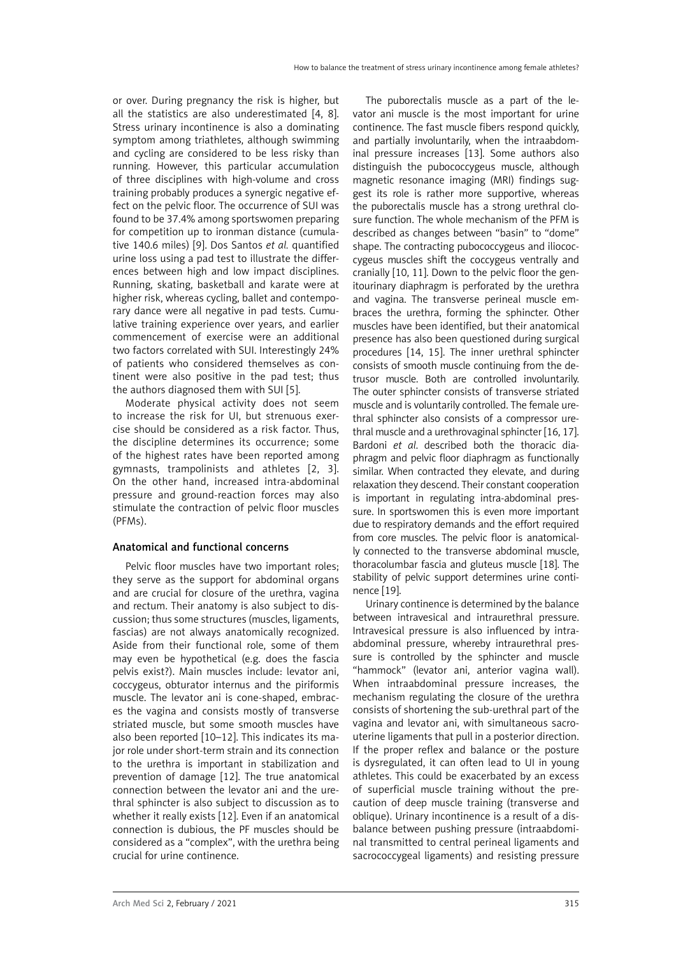or over. During pregnancy the risk is higher, but all the statistics are also underestimated [4, 8]. Stress urinary incontinence is also a dominating symptom among triathletes, although swimming and cycling are considered to be less risky than running. However, this particular accumulation of three disciplines with high-volume and cross training probably produces a synergic negative effect on the pelvic floor. The occurrence of SUI was found to be 37.4% among sportswomen preparing for competition up to ironman distance (cumulative 140.6 miles) [9]. Dos Santos *et al.* quantified urine loss using a pad test to illustrate the differences between high and low impact disciplines. Running, skating, basketball and karate were at higher risk, whereas cycling, ballet and contemporary dance were all negative in pad tests. Cumulative training experience over years, and earlier commencement of exercise were an additional two factors correlated with SUI. Interestingly 24% of patients who considered themselves as continent were also positive in the pad test; thus the authors diagnosed them with SUI [5].

Moderate physical activity does not seem to increase the risk for UI, but strenuous exercise should be considered as a risk factor. Thus, the discipline determines its occurrence; some of the highest rates have been reported among gymnasts, trampolinists and athletes [2, 3]. On the other hand, increased intra-abdominal pressure and ground-reaction forces may also stimulate the contraction of pelvic floor muscles (PFMs).

### Anatomical and functional concerns

Pelvic floor muscles have two important roles; they serve as the support for abdominal organs and are crucial for closure of the urethra, vagina and rectum. Their anatomy is also subject to discussion; thus some structures (muscles, ligaments, fascias) are not always anatomically recognized. Aside from their functional role, some of them may even be hypothetical (e.g. does the fascia pelvis exist?). Main muscles include: levator ani, coccygeus, obturator internus and the piriformis muscle. The levator ani is cone-shaped, embraces the vagina and consists mostly of transverse striated muscle, but some smooth muscles have also been reported [10–12]. This indicates its major role under short-term strain and its connection to the urethra is important in stabilization and prevention of damage [12]. The true anatomical connection between the levator ani and the urethral sphincter is also subject to discussion as to whether it really exists [12]. Even if an anatomical connection is dubious, the PF muscles should be considered as a "complex", with the urethra being crucial for urine continence.

The puborectalis muscle as a part of the levator ani muscle is the most important for urine continence. The fast muscle fibers respond quickly, and partially involuntarily, when the intraabdominal pressure increases [13]. Some authors also distinguish the pubococcygeus muscle, although magnetic resonance imaging (MRI) findings suggest its role is rather more supportive, whereas the puborectalis muscle has a strong urethral closure function. The whole mechanism of the PFM is described as changes between "basin" to "dome" shape. The contracting pubococcygeus and iliococcygeus muscles shift the coccygeus ventrally and cranially [10, 11]. Down to the pelvic floor the genitourinary diaphragm is perforated by the urethra and vagina. The transverse perineal muscle embraces the urethra, forming the sphincter. Other muscles have been identified, but their anatomical presence has also been questioned during surgical procedures [14, 15]. The inner urethral sphincter consists of smooth muscle continuing from the detrusor muscle. Both are controlled involuntarily. The outer sphincter consists of transverse striated muscle and is voluntarily controlled. The female urethral sphincter also consists of a compressor urethral muscle and a urethrovaginal sphincter [16, 17]. Bardoni *et al*. described both the thoracic diaphragm and pelvic floor diaphragm as functionally similar. When contracted they elevate, and during relaxation they descend. Their constant cooperation is important in regulating intra-abdominal pressure. In sportswomen this is even more important due to respiratory demands and the effort required from core muscles. The pelvic floor is anatomically connected to the transverse abdominal muscle, thoracolumbar fascia and gluteus muscle [18]. The stability of pelvic support determines urine continence [19].

Urinary continence is determined by the balance between intravesical and intraurethral pressure. Intravesical pressure is also influenced by intraabdominal pressure, whereby intraurethral pressure is controlled by the sphincter and muscle "hammock" (levator ani, anterior vagina wall). When intraabdominal pressure increases, the mechanism regulating the closure of the urethra consists of shortening the sub-urethral part of the vagina and levator ani, with simultaneous sacrouterine ligaments that pull in a posterior direction. If the proper reflex and balance or the posture is dysregulated, it can often lead to UI in young athletes. This could be exacerbated by an excess of superficial muscle training without the precaution of deep muscle training (transverse and oblique). Urinary incontinence is a result of a disbalance between pushing pressure (intraabdominal transmitted to central perineal ligaments and sacrococcygeal ligaments) and resisting pressure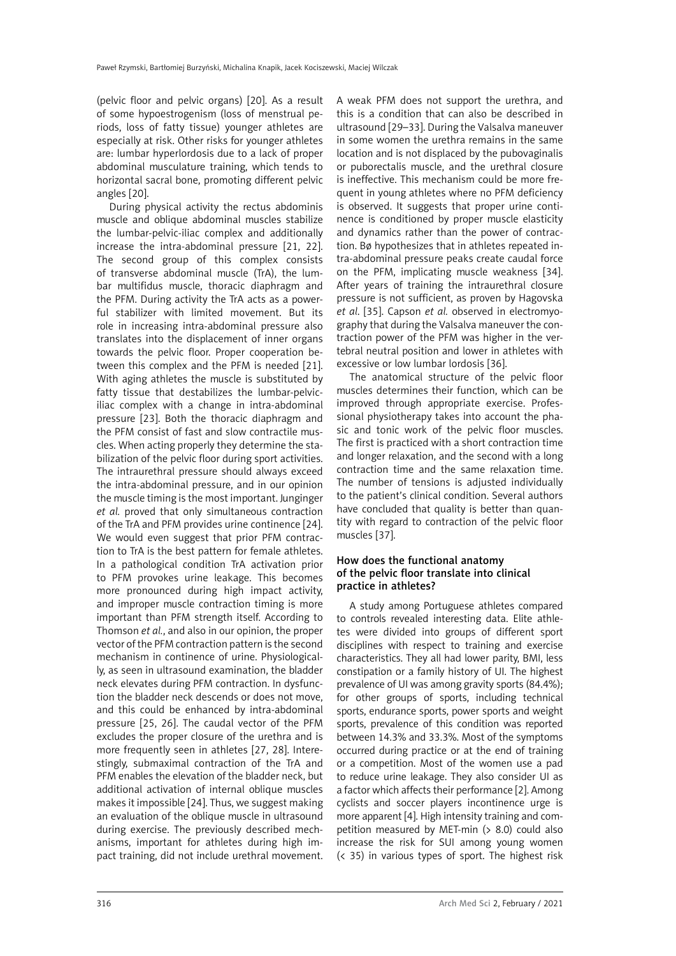(pelvic floor and pelvic organs) [20]. As a result of some hypoestrogenism (loss of menstrual periods, loss of fatty tissue) younger athletes are especially at risk. Other risks for younger athletes are: lumbar hyperlordosis due to a lack of proper abdominal musculature training, which tends to horizontal sacral bone, promoting different pelvic angles [20].

During physical activity the rectus abdominis muscle and oblique abdominal muscles stabilize the lumbar-pelvic-iliac complex and additionally increase the intra-abdominal pressure [21, 22]. The second group of this complex consists of transverse abdominal muscle (TrA), the lumbar multifidus muscle, thoracic diaphragm and the PFM. During activity the TrA acts as a powerful stabilizer with limited movement. But its role in increasing intra-abdominal pressure also translates into the displacement of inner organs towards the pelvic floor. Proper cooperation between this complex and the PFM is needed [21]. With aging athletes the muscle is substituted by fatty tissue that destabilizes the lumbar-pelviciliac complex with a change in intra-abdominal pressure [23]. Both the thoracic diaphragm and the PFM consist of fast and slow contractile muscles. When acting properly they determine the stabilization of the pelvic floor during sport activities. The intraurethral pressure should always exceed the intra-abdominal pressure, and in our opinion the muscle timing is the most important. Junginger *et al.* proved that only simultaneous contraction of the TrA and PFM provides urine continence [24]. We would even suggest that prior PFM contraction to TrA is the best pattern for female athletes. In a pathological condition TrA activation prior to PFM provokes urine leakage. This becomes more pronounced during high impact activity, and improper muscle contraction timing is more important than PFM strength itself. According to Thomson *et al.*, and also in our opinion, the proper vector of the PFM contraction pattern is the second mechanism in continence of urine. Physiologically, as seen in ultrasound examination, the bladder neck elevates during PFM contraction. In dysfunction the bladder neck descends or does not move, and this could be enhanced by intra-abdominal pressure [25, 26]. The caudal vector of the PFM excludes the proper closure of the urethra and is more frequently seen in athletes [27, 28]. Interestingly, submaximal contraction of the TrA and PFM enables the elevation of the bladder neck, but additional activation of internal oblique muscles makes it impossible [24]. Thus, we suggest making an evaluation of the oblique muscle in ultrasound during exercise. The previously described mechanisms, important for athletes during high impact training, did not include urethral movement. A weak PFM does not support the urethra, and this is a condition that can also be described in ultrasound [29–33]. During the Valsalva maneuver in some women the urethra remains in the same location and is not displaced by the pubovaginalis or puborectalis muscle, and the urethral closure is ineffective. This mechanism could be more frequent in young athletes where no PFM deficiency is observed. It suggests that proper urine continence is conditioned by proper muscle elasticity and dynamics rather than the power of contraction. Bø hypothesizes that in athletes repeated intra-abdominal pressure peaks create caudal force on the PFM, implicating muscle weakness [34]. After years of training the intraurethral closure pressure is not sufficient, as proven by Hagovska *et al*. [35]. Capson *et al.* observed in electromyography that during the Valsalva maneuver the contraction power of the PFM was higher in the vertebral neutral position and lower in athletes with excessive or low lumbar lordosis [36].

The anatomical structure of the pelvic floor muscles determines their function, which can be improved through appropriate exercise. Professional physiotherapy takes into account the phasic and tonic work of the pelvic floor muscles. The first is practiced with a short contraction time and longer relaxation, and the second with a long contraction time and the same relaxation time. The number of tensions is adjusted individually to the patient's clinical condition. Several authors have concluded that quality is better than quantity with regard to contraction of the pelvic floor muscles [37].

### How does the functional anatomy of the pelvic floor translate into clinical practice in athletes?

A study among Portuguese athletes compared to controls revealed interesting data. Elite athletes were divided into groups of different sport disciplines with respect to training and exercise characteristics. They all had lower parity, BMI, less constipation or a family history of UI. The highest prevalence of UI was among gravity sports (84.4%); for other groups of sports, including technical sports, endurance sports, power sports and weight sports, prevalence of this condition was reported between 14.3% and 33.3%. Most of the symptoms occurred during practice or at the end of training or a competition. Most of the women use a pad to reduce urine leakage. They also consider UI as a factor which affects their performance [2]. Among cyclists and soccer players incontinence urge is more apparent [4]. High intensity training and competition measured by MET-min (> 8.0) could also increase the risk for SUI among young women  $( $35$ )$  in various types of sport. The highest risk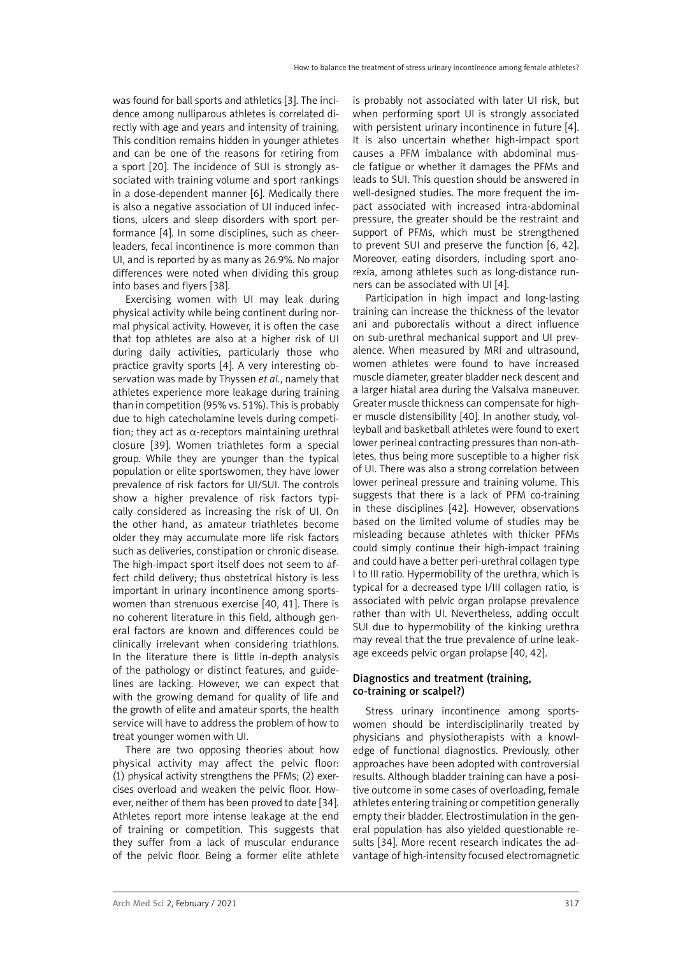was found for ball sports and athletics [3]. The incidence among nulliparous athletes is correlated directly with age and years and intensity of training. This condition remains hidden in younger athletes and can be one of the reasons for retiring from a sport [20]. The incidence of SUI is strongly associated with training volume and sport rankings in a dose-dependent manner [6]. Medically there is also a negative association of UI induced infections, ulcers and sleep disorders with sport performance [4]. In some disciplines, such as cheerleaders, fecal incontinence is more common than UI, and is reported by as many as 26.9%. No major differences were noted when dividing this group into bases and flyers [38].

Exercising women with UI may leak during physical activity while being continent during normal physical activity. However, it is often the case that top athletes are also at a higher risk of UI during daily activities, particularly those who practice gravity sports [4]. A very interesting observation was made by Thyssen *et al.*, namely that athletes experience more leakage during training than in competition (95% vs. 51%). This is probably due to high catecholamine levels during competition; they act as  $\alpha$ -receptors maintaining urethral closure [39]. Women triathletes form a special group. While they are younger than the typical population or elite sportswomen, they have lower prevalence of risk factors for UI/SUI. The controls show a higher prevalence of risk factors typically considered as increasing the risk of UI. On the other hand, as amateur triathletes become older they may accumulate more life risk factors such as deliveries, constipation or chronic disease. The high-impact sport itself does not seem to affect child delivery; thus obstetrical history is less important in urinary incontinence among sportswomen than strenuous exercise [40, 41]. There is no coherent literature in this field, although general factors are known and differences could be clinically irrelevant when considering triathlons. In the literature there is little in-depth analysis of the pathology or distinct features, and guidelines are lacking. However, we can expect that with the growing demand for quality of life and the growth of elite and amateur sports, the health service will have to address the problem of how to treat younger women with UI.

There are two opposing theories about how physical activity may affect the pelvic floor: (1) physical activity strengthens the PFMs; (2) exercises overload and weaken the pelvic floor. However, neither of them has been proved to date [34]. Athletes report more intense leakage at the end of training or competition. This suggests that they suffer from a lack of muscular endurance of the pelvic floor. Being a former elite athlete is probably not associated with later UI risk, but when performing sport UI is strongly associated with persistent urinary incontinence in future [4]. It is also uncertain whether high-impact sport causes a PFM imbalance with abdominal muscle fatigue or whether it damages the PFMs and leads to SUI. This question should be answered in well-designed studies. The more frequent the impact associated with increased intra-abdominal pressure, the greater should be the restraint and support of PFMs, which must be strengthened to prevent SUI and preserve the function [6, 42]. Moreover, eating disorders, including sport anorexia, among athletes such as long-distance runners can be associated with UI [4].

Participation in high impact and long-lasting training can increase the thickness of the levator ani and puborectalis without a direct influence on sub-urethral mechanical support and UI prevalence. When measured by MRI and ultrasound, women athletes were found to have increased muscle diameter, greater bladder neck descent and a larger hiatal area during the Valsalva maneuver. Greater muscle thickness can compensate for higher muscle distensibility [40]. In another study, volleyball and basketball athletes were found to exert lower perineal contracting pressures than non-athletes, thus being more susceptible to a higher risk of UI. There was also a strong correlation between lower perineal pressure and training volume. This suggests that there is a lack of PFM co-training in these disciplines [42]. However, observations based on the limited volume of studies may be misleading because athletes with thicker PFMs could simply continue their high-impact training and could have a better peri-urethral collagen type I to III ratio. Hypermobility of the urethra, which is typical for a decreased type I/III collagen ratio, is associated with pelvic organ prolapse prevalence rather than with UI. Nevertheless, adding occult SUI due to hypermobility of the kinking urethra may reveal that the true prevalence of urine leakage exceeds pelvic organ prolapse [40, 42].

### Diagnostics and treatment (training, co-training or scalpel?)

Stress urinary incontinence among sportswomen should be interdisciplinarily treated by physicians and physiotherapists with a knowledge of functional diagnostics. Previously, other approaches have been adopted with controversial results. Although bladder training can have a positive outcome in some cases of overloading, female athletes entering training or competition generally empty their bladder. Electrostimulation in the general population has also yielded questionable results [34]. More recent research indicates the advantage of high-intensity focused electromagnetic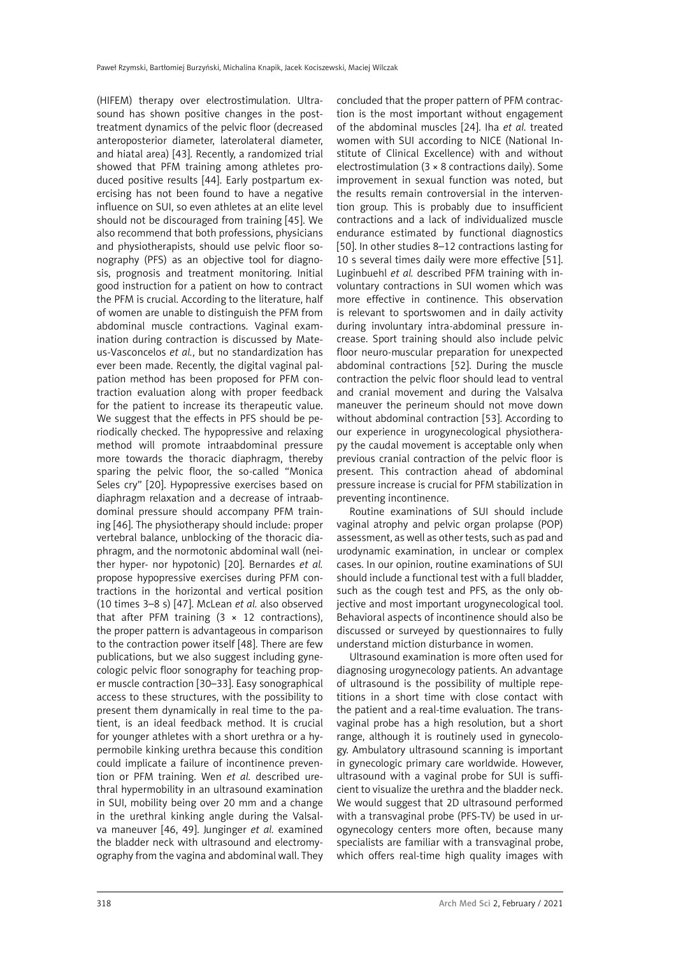(HIFEM) therapy over electrostimulation. Ultrasound has shown positive changes in the posttreatment dynamics of the pelvic floor (decreased anteroposterior diameter, laterolateral diameter, and hiatal area) [43]. Recently, a randomized trial showed that PFM training among athletes produced positive results [44]. Early postpartum exercising has not been found to have a negative influence on SUI, so even athletes at an elite level should not be discouraged from training [45]. We also recommend that both professions, physicians and physiotherapists, should use pelvic floor sonography (PFS) as an objective tool for diagnosis, prognosis and treatment monitoring. Initial good instruction for a patient on how to contract the PFM is crucial. According to the literature, half of women are unable to distinguish the PFM from abdominal muscle contractions. Vaginal examination during contraction is discussed by Mateus-Vasconcelos *et al.*, but no standardization has ever been made. Recently, the digital vaginal palpation method has been proposed for PFM contraction evaluation along with proper feedback for the patient to increase its therapeutic value. We suggest that the effects in PFS should be periodically checked. The hypopressive and relaxing method will promote intraabdominal pressure more towards the thoracic diaphragm, thereby sparing the pelvic floor, the so-called "Monica Seles cry" [20]. Hypopressive exercises based on diaphragm relaxation and a decrease of intraabdominal pressure should accompany PFM training [46]. The physiotherapy should include: proper vertebral balance, unblocking of the thoracic diaphragm, and the normotonic abdominal wall (neither hyper- nor hypotonic) [20]. Bernardes *et al.* propose hypopressive exercises during PFM contractions in the horizontal and vertical position (10 times 3–8 s) [47]. McLean *et al.* also observed that after PFM training  $(3 \times 12 \text{ contractions})$ , the proper pattern is advantageous in comparison to the contraction power itself [48]. There are few publications, but we also suggest including gynecologic pelvic floor sonography for teaching proper muscle contraction [30–33]. Easy sonographical access to these structures, with the possibility to present them dynamically in real time to the patient, is an ideal feedback method. It is crucial for younger athletes with a short urethra or a hypermobile kinking urethra because this condition could implicate a failure of incontinence prevention or PFM training. Wen *et al.* described urethral hypermobility in an ultrasound examination in SUI, mobility being over 20 mm and a change in the urethral kinking angle during the Valsalva maneuver [46, 49]. Junginger *et al.* examined the bladder neck with ultrasound and electromyography from the vagina and abdominal wall. They concluded that the proper pattern of PFM contraction is the most important without engagement of the abdominal muscles [24]. Iha *et al.* treated women with SUI according to NICE (National Institute of Clinical Excellence) with and without electrostimulation (3 × 8 contractions daily). Some improvement in sexual function was noted, but the results remain controversial in the intervention group. This is probably due to insufficient contractions and a lack of individualized muscle endurance estimated by functional diagnostics [50]. In other studies 8–12 contractions lasting for 10 s several times daily were more effective [51]. Luginbuehl *et al.* described PFM training with involuntary contractions in SUI women which was more effective in continence. This observation is relevant to sportswomen and in daily activity during involuntary intra-abdominal pressure increase. Sport training should also include pelvic floor neuro-muscular preparation for unexpected abdominal contractions [52]. During the muscle contraction the pelvic floor should lead to ventral and cranial movement and during the Valsalva maneuver the perineum should not move down without abdominal contraction [53]. According to our experience in urogynecological physiotherapy the caudal movement is acceptable only when previous cranial contraction of the pelvic floor is present. This contraction ahead of abdominal pressure increase is crucial for PFM stabilization in preventing incontinence.

Routine examinations of SUI should include vaginal atrophy and pelvic organ prolapse (POP) assessment, as well as other tests, such as pad and urodynamic examination, in unclear or complex cases. In our opinion, routine examinations of SUI should include a functional test with a full bladder, such as the cough test and PFS, as the only objective and most important urogynecological tool. Behavioral aspects of incontinence should also be discussed or surveyed by questionnaires to fully understand miction disturbance in women.

Ultrasound examination is more often used for diagnosing urogynecology patients. An advantage of ultrasound is the possibility of multiple repetitions in a short time with close contact with the patient and a real-time evaluation. The transvaginal probe has a high resolution, but a short range, although it is routinely used in gynecology. Ambulatory ultrasound scanning is important in gynecologic primary care worldwide. However, ultrasound with a vaginal probe for SUI is sufficient to visualize the urethra and the bladder neck. We would suggest that 2D ultrasound performed with a transvaginal probe (PFS-TV) be used in urogynecology centers more often, because many specialists are familiar with a transvaginal probe, which offers real-time high quality images with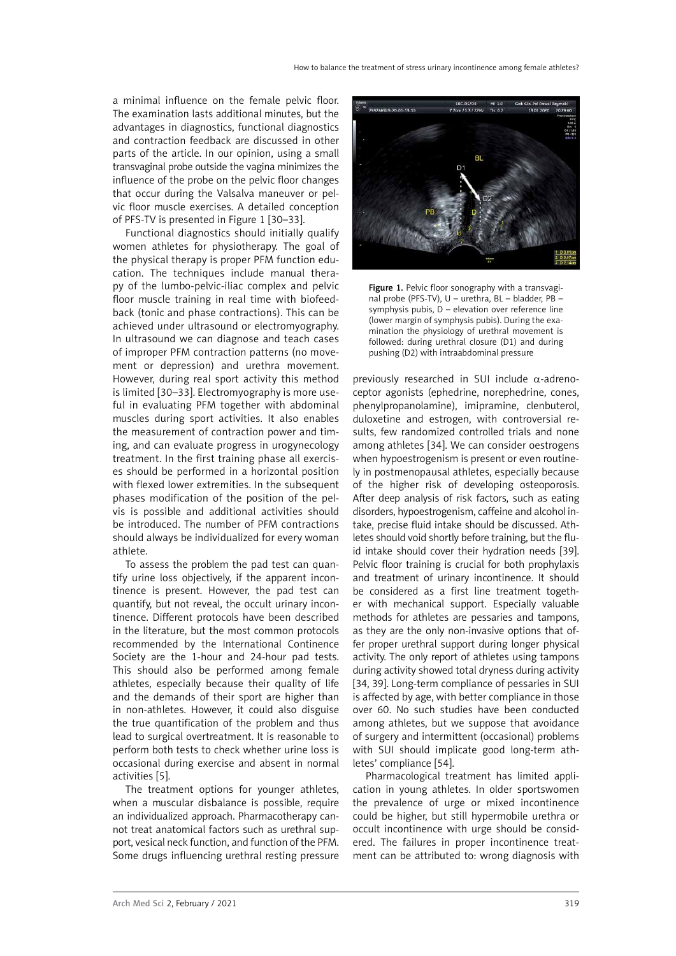a minimal influence on the female pelvic floor. The examination lasts additional minutes, but the advantages in diagnostics, functional diagnostics and contraction feedback are discussed in other parts of the article. In our opinion, using a small transvaginal probe outside the vagina minimizes the influence of the probe on the pelvic floor changes that occur during the Valsalva maneuver or pelvic floor muscle exercises. A detailed conception of PFS-TV is presented in Figure 1 [30–33].

Functional diagnostics should initially qualify women athletes for physiotherapy. The goal of the physical therapy is proper PFM function education. The techniques include manual therapy of the lumbo-pelvic-iliac complex and pelvic floor muscle training in real time with biofeedback (tonic and phase contractions). This can be achieved under ultrasound or electromyography. In ultrasound we can diagnose and teach cases of improper PFM contraction patterns (no movement or depression) and urethra movement. However, during real sport activity this method is limited [30–33]. Electromyography is more useful in evaluating PFM together with abdominal muscles during sport activities. It also enables the measurement of contraction power and timing, and can evaluate progress in urogynecology treatment. In the first training phase all exercises should be performed in a horizontal position with flexed lower extremities. In the subsequent phases modification of the position of the pelvis is possible and additional activities should be introduced. The number of PFM contractions should always be individualized for every woman athlete.

To assess the problem the pad test can quantify urine loss objectively, if the apparent incontinence is present. However, the pad test can quantify, but not reveal, the occult urinary incontinence. Different protocols have been described in the literature, but the most common protocols recommended by the International Continence Society are the 1-hour and 24-hour pad tests. This should also be performed among female athletes, especially because their quality of life and the demands of their sport are higher than in non-athletes. However, it could also disguise the true quantification of the problem and thus lead to surgical overtreatment. It is reasonable to perform both tests to check whether urine loss is occasional during exercise and absent in normal activities [5].

The treatment options for younger athletes, when a muscular disbalance is possible, require an individualized approach. Pharmacotherapy cannot treat anatomical factors such as urethral support, vesical neck function, and function of the PFM. Some drugs influencing urethral resting pressure



Figure 1. Pelvic floor sonography with a transvaginal probe (PFS-TV), U – urethra, BL – bladder, PB – symphysis pubis, D – elevation over reference line (lower margin of symphysis pubis). During the examination the physiology of urethral movement is followed: during urethral closure (D1) and during pushing (D2) with intraabdominal pressure

previously researched in SUI include  $\alpha$ -adrenoceptor agonists (ephedrine, norephedrine, cones, phenylpropanolamine), imipramine, clenbuterol, duloxetine and estrogen, with controversial results, few randomized controlled trials and none among athletes [34]. We can consider oestrogens when hypoestrogenism is present or even routinely in postmenopausal athletes, especially because of the higher risk of developing osteoporosis. After deep analysis of risk factors, such as eating disorders, hypoestrogenism, caffeine and alcohol intake, precise fluid intake should be discussed. Athletes should void shortly before training, but the fluid intake should cover their hydration needs [39]. Pelvic floor training is crucial for both prophylaxis and treatment of urinary incontinence. It should be considered as a first line treatment together with mechanical support. Especially valuable methods for athletes are pessaries and tampons, as they are the only non-invasive options that offer proper urethral support during longer physical activity. The only report of athletes using tampons during activity showed total dryness during activity [34, 39]. Long-term compliance of pessaries in SUI is affected by age, with better compliance in those over 60. No such studies have been conducted among athletes, but we suppose that avoidance of surgery and intermittent (occasional) problems with SUI should implicate good long-term athletes' compliance [54].

Pharmacological treatment has limited application in young athletes. In older sportswomen the prevalence of urge or mixed incontinence could be higher, but still hypermobile urethra or occult incontinence with urge should be considered. The failures in proper incontinence treatment can be attributed to: wrong diagnosis with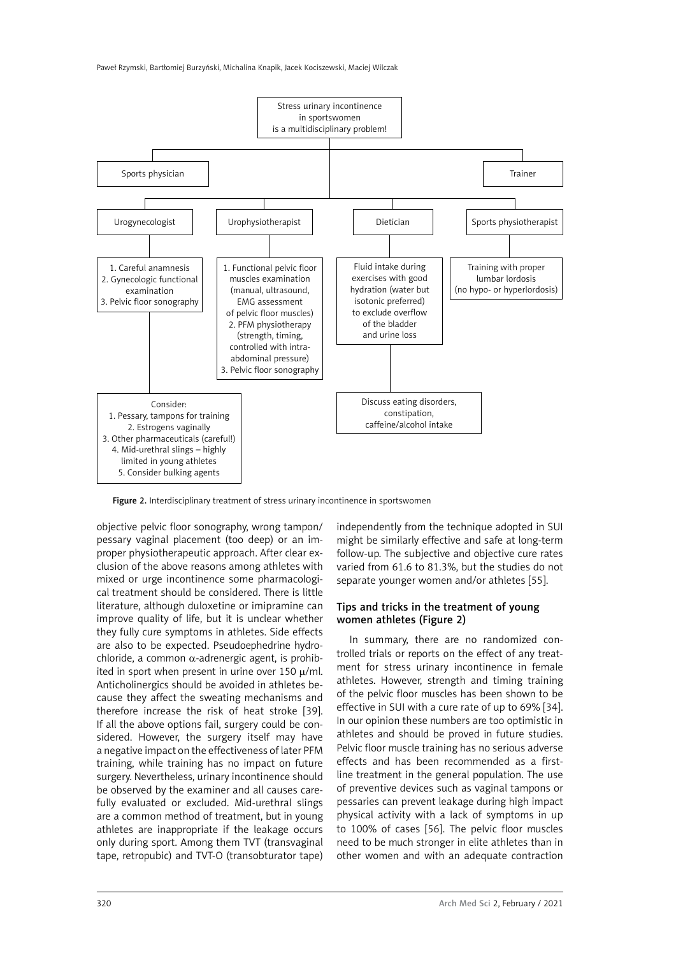

Figure 2. Interdisciplinary treatment of stress urinary incontinence in sportswomen

objective pelvic floor sonography, wrong tampon/ pessary vaginal placement (too deep) or an improper physiotherapeutic approach. After clear exclusion of the above reasons among athletes with mixed or urge incontinence some pharmacological treatment should be considered. There is little literature, although duloxetine or imipramine can improve quality of life, but it is unclear whether they fully cure symptoms in athletes. Side effects are also to be expected. Pseudoephedrine hydrochloride, a common  $\alpha$ -adrenergic agent, is prohibited in sport when present in urine over 150  $\mu$ /ml. Anticholinergics should be avoided in athletes because they affect the sweating mechanisms and therefore increase the risk of heat stroke [39]. If all the above options fail, surgery could be considered. However, the surgery itself may have a negative impact on the effectiveness of later PFM training, while training has no impact on future surgery. Nevertheless, urinary incontinence should be observed by the examiner and all causes carefully evaluated or excluded. Mid-urethral slings are a common method of treatment, but in young athletes are inappropriate if the leakage occurs only during sport. Among them TVT (transvaginal tape, retropubic) and TVT-O (transobturator tape) independently from the technique adopted in SUI might be similarly effective and safe at long-term follow-up. The subjective and objective cure rates varied from 61.6 to 81.3%, but the studies do not separate younger women and/or athletes [55].

# Tips and tricks in the treatment of young women athletes (Figure 2)

In summary, there are no randomized controlled trials or reports on the effect of any treatment for stress urinary incontinence in female athletes. However, strength and timing training of the pelvic floor muscles has been shown to be effective in SUI with a cure rate of up to 69% [34]. In our opinion these numbers are too optimistic in athletes and should be proved in future studies. Pelvic floor muscle training has no serious adverse effects and has been recommended as a firstline treatment in the general population. The use of preventive devices such as vaginal tampons or pessaries can prevent leakage during high impact physical activity with a lack of symptoms in up to 100% of cases [56]. The pelvic floor muscles need to be much stronger in elite athletes than in other women and with an adequate contraction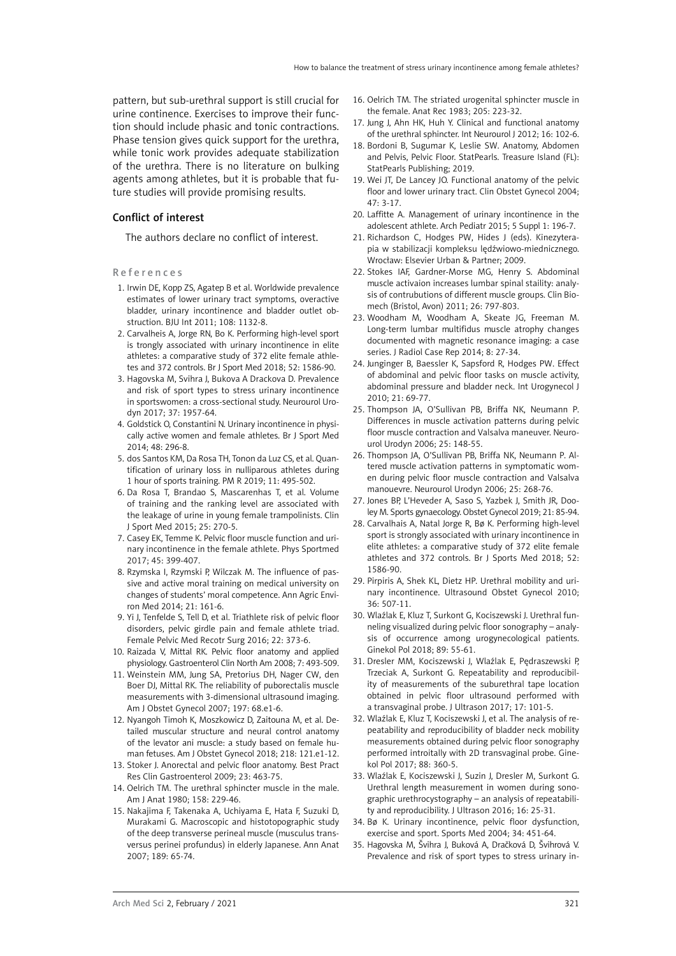pattern, but sub-urethral support is still crucial for urine continence. Exercises to improve their function should include phasic and tonic contractions. Phase tension gives quick support for the urethra, while tonic work provides adequate stabilization of the urethra. There is no literature on bulking agents among athletes, but it is probable that future studies will provide promising results.

# Conflict of interest

The authors declare no conflict of interest.

References

- 1. Irwin DE, Kopp ZS, Agatep B et al. Worldwide prevalence estimates of lower urinary tract symptoms, overactive bladder, urinary incontinence and bladder outlet obstruction. BJU Int 2011; 108: 1132-8.
- 2. Carvalheis A, Jorge RN, Bo K. Performing high-level sport is trongly associated with urinary incontinence in elite athletes: a comparative study of 372 elite female athletes and 372 controls. Br J Sport Med 2018; 52: 1586-90.
- 3. Hagovska M, Svihra J, Bukova A Drackova D. Prevalence and risk of sport types to stress urinary incontinence in sportswomen: a cross-sectional study. Neurourol Urodyn 2017; 37: 1957-64.
- 4. Goldstick O, Constantini N. Urinary incontinence in physically active women and female athletes. Br J Sport Med 2014; 48: 296-8.
- 5. dos Santos KM, Da Rosa TH, Tonon da Luz CS, et al. Quantification of urinary loss in nulliparous athletes during 1 hour of sports training. PM R 2019; 11: 495-502.
- 6. Da Rosa T, Brandao S, Mascarenhas T, et al. Volume of training and the ranking level are associated with the leakage of urine in young female trampolinists. Clin J Sport Med 2015; 25: 270-5.
- 7. Casey EK, Temme K. Pelvic floor muscle function and urinary incontinence in the female athlete. Phys Sportmed 2017; 45: 399-407.
- 8. Rzymska I, Rzymski P, Wilczak M. The influence of passive and active moral training on medical university on changes of students' moral competence. Ann Agric Environ Med 2014; 21: 161-6.
- 9. Yi J, Tenfelde S, Tell D, et al. Triathlete risk of pelvic floor disorders, pelvic girdle pain and female athlete triad. Female Pelvic Med Recotr Surg 2016; 22: 373-6.
- 10. Raizada V, Mittal RK. Pelvic floor anatomy and applied physiology. Gastroenterol Clin North Am 2008; 7: 493-509.
- 11. Weinstein MM, Jung SA, Pretorius DH, Nager CW, den Boer DJ, Mittal RK. The reliability of puborectalis muscle measurements with 3-dimensional ultrasound imaging. Am J Obstet Gynecol 2007; 197: 68.e1-6.
- 12. Nyangoh Timoh K, Moszkowicz D, Zaitouna M, et al. Detailed muscular structure and neural control anatomy of the levator ani muscle: a study based on female human fetuses. Am J Obstet Gynecol 2018; 218: 121.e1-12.
- 13. Stoker J. Anorectal and pelvic floor anatomy. Best Pract Res Clin Gastroenterol 2009; 23: 463-75.
- 14. Oelrich TM. The urethral sphincter muscle in the male. Am J Anat 1980; 158: 229-46.
- 15. Nakajima F, Takenaka A, Uchiyama E, Hata F, Suzuki D, Murakami G. Macroscopic and histotopographic study of the deep transverse perineal muscle (musculus transversus perinei profundus) in elderly Japanese. Ann Anat 2007; 189: 65-74.
- 16. Oelrich TM. The striated urogenital sphincter muscle in the female. Anat Rec 1983; 205: 223-32.
- 17. Jung J, Ahn HK, Huh Y. Clinical and functional anatomy of the urethral sphincter. Int Neurourol J 2012; 16: 102-6.
- 18. Bordoni B, Sugumar K, Leslie SW. Anatomy, Abdomen and Pelvis, Pelvic Floor. StatPearls. Treasure Island (FL): StatPearls Publishing; 2019.
- 19. Wei JT, De Lancey JO. Functional anatomy of the pelvic floor and lower urinary tract. Clin Obstet Gynecol 2004; 47: 3-17.
- 20. Laffitte A. Management of urinary incontinence in the adolescent athlete. Arch Pediatr 2015; 5 Suppl 1: 196-7.
- 21. Richardson C, Hodges PW, Hides J (eds). Kinezyterapia w stabilizacji kompleksu lędźwiowo-miednicznego. Wrocław: Elsevier Urban & Partner; 2009.
- 22. Stokes IAF, Gardner-Morse MG, Henry S. Abdominal muscle activaion increases lumbar spinal staility: analysis of contrubutions of different muscle groups. Clin Biomech (Bristol, Avon) 2011; 26: 797-803.
- 23. Woodham M, Woodham A, Skeate JG, Freeman M. Long-term lumbar multifidus muscle atrophy changes documented with magnetic resonance imaging: a case series. J Radiol Case Rep 2014; 8: 27-34.
- 24. Junginger B, Baessler K, Sapsford R, Hodges PW. Effect of abdominal and pelvic floor tasks on muscle activity, abdominal pressure and bladder neck. Int Urogynecol J 2010; 21: 69-77.
- 25. Thompson JA, O'Sullivan PB, Briffa NK, Neumann P. Differences in muscle activation patterns during pelvic floor muscle contraction and Valsalva maneuver. Neurourol Urodyn 2006; 25: 148-55.
- 26. Thompson JA, O'Sullivan PB, Briffa NK, Neumann P. Altered muscle activation patterns in symptomatic women during pelvic floor muscle contraction and Valsalva manouevre. Neurourol Urodyn 2006; 25: 268-76.
- 27. Jones BP, L'Heveder A, Saso S, Yazbek J, Smith JR, Dooley M. Sports gynaecology. Obstet Gynecol 2019; 21: 85-94.
- 28. Carvalhais A, Natal Jorge R, Bø K. Performing high-level sport is strongly associated with urinary incontinence in elite athletes: a comparative study of 372 elite female athletes and 372 controls. Br J Sports Med 2018; 52: 1586-90.
- 29. Pirpiris A, Shek KL, Dietz HP. Urethral mobility and urinary incontinence. Ultrasound Obstet Gynecol 2010; 36: 507-11.
- 30. Wlaźlak E, Kluz T, Surkont G, Kociszewski J. Urethral funneling visualized during pelvic floor sonography – analysis of occurrence among urogynecological patients. Ginekol Pol 2018; 89: 55-61.
- 31. Dresler MM, Kociszewski J, Wlaźlak E, Pędraszewski P, Trzeciak A, Surkont G. Repeatability and reproducibility of measurements of the suburethral tape location obtained in pelvic floor ultrasound performed with a transvaginal probe. J Ultrason 2017; 17: 101-5.
- 32. Wlaźlak E, Kluz T, Kociszewski J, et al. The analysis of repeatability and reproducibility of bladder neck mobility measurements obtained during pelvic floor sonography performed introitally with 2D transvaginal probe. Ginekol Pol 2017; 88: 360-5.
- 33. Wlaźlak E, Kociszewski J, Suzin J, Dresler M, Surkont G. Urethral length measurement in women during sonographic urethrocystography – an analysis of repeatability and reproducibility. J Ultrason 2016; 16: 25-31.
- 34. Bø K. Urinary incontinence, pelvic floor dysfunction, exercise and sport. Sports Med 2004; 34: 451-64.
- 35. Hagovska M, Švihra J, Buková A, Dračková D, Švihrová V. Prevalence and risk of sport types to stress urinary in-